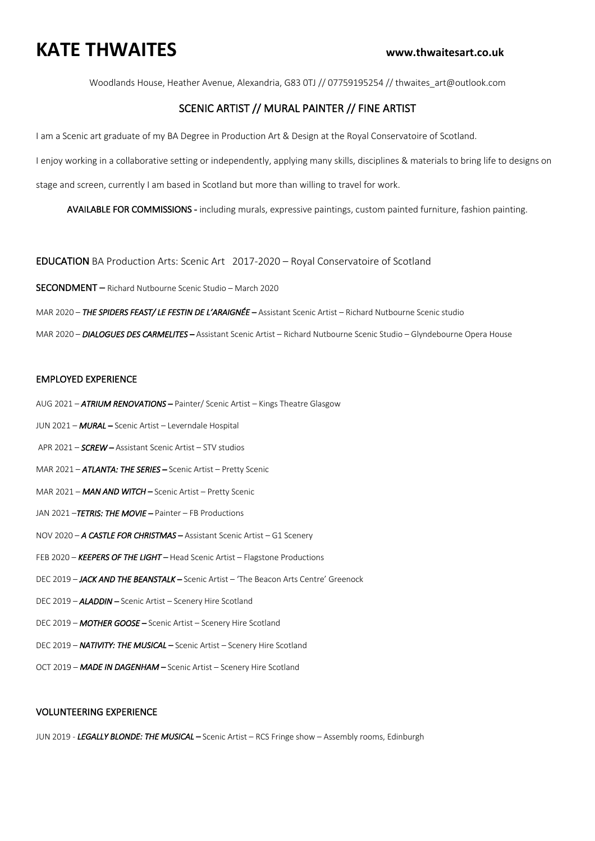## **KATE THWAITES www.thwaitesart.co.uk**

Woodlands House, Heather Avenue, Alexandria, G83 0TJ // 07759195254 // thwaites\_art@outlook.com

## SCENIC ARTIST // MURAL PAINTER // FINE ARTIST

I am a Scenic art graduate of my BA Degree in Production Art & Design at the Royal Conservatoire of Scotland.

I enjoy working in a collaborative setting or independently, applying many skills, disciplines & materials to bring life to designs on

stage and screen, currently I am based in Scotland but more than willing to travel for work.

AVAILABLE FOR COMMISSIONS - including murals, expressive paintings, custom painted furniture, fashion painting.

EDUCATION BA Production Arts: Scenic Art 2017-2020 – Royal Conservatoire of Scotland

SECONDMENT – Richard Nutbourne Scenic Studio – March 2020

MAR 2020 – *THE SPIDERS FEAST/ LE FESTIN DE L'ARAIGNÉE –* Assistant Scenic Artist – Richard Nutbourne Scenic studio

MAR 2020 – *DIALOGUES DES CARMELITES –* Assistant Scenic Artist – Richard Nutbourne Scenic Studio – Glyndebourne Opera House

### EMPLOYED EXPERIENCE

- AUG 2021 *ATRIUM RENOVATIONS* Painter/ Scenic Artist Kings Theatre Glasgow
- JUN 2021 *MURAL* Scenic Artist Leverndale Hospital
- APR 2021 *SCREW* Assistant Scenic Artist STV studios
- MAR 2021 *ATLANTA: THE SERIES* Scenic Artist Pretty Scenic
- MAR 2021 *MAN AND WITCH* Scenic Artist Pretty Scenic
- JAN 2021 –*TETRIS: THE MOVIE* Painter FB Productions
- NOV 2020 *A CASTLE FOR CHRISTMAS* Assistant Scenic Artist G1 Scenery
- FEB 2020 *KEEPERS OF THE LIGHT* Head Scenic Artist Flagstone Productions
- DEC 2019 *JACK AND THE BEANSTALK* Scenic Artist 'The Beacon Arts Centre' Greenock
- DEC 2019 *ALADDIN* Scenic Artist Scenery Hire Scotland
- DEC 2019 *MOTHER GOOSE* Scenic Artist Scenery Hire Scotland
- DEC 2019 **NATIVITY: THE MUSICAL** Scenic Artist Scenery Hire Scotland
- OCT 2019 *MADE IN DAGENHAM* Scenic Artist Scenery Hire Scotland

### VOLUNTEERING EXPERIENCE

JUN 2019 - *LEGALLY BLONDE: THE MUSICAL –* Scenic Artist – RCS Fringe show – Assembly rooms, Edinburgh